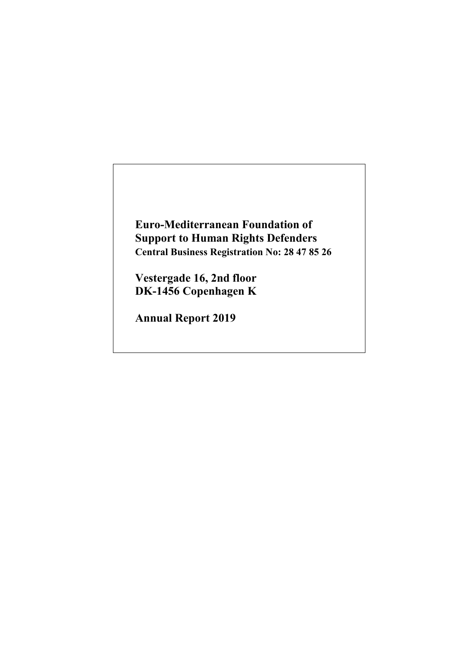**Euro-Mediterranean Foundation of Support to Human Rights Defenders Central Business Registration No: 28 47 85 26**

**Vestergade 16, 2nd floor DK-1456 Copenhagen K**

**Annual Report 2019**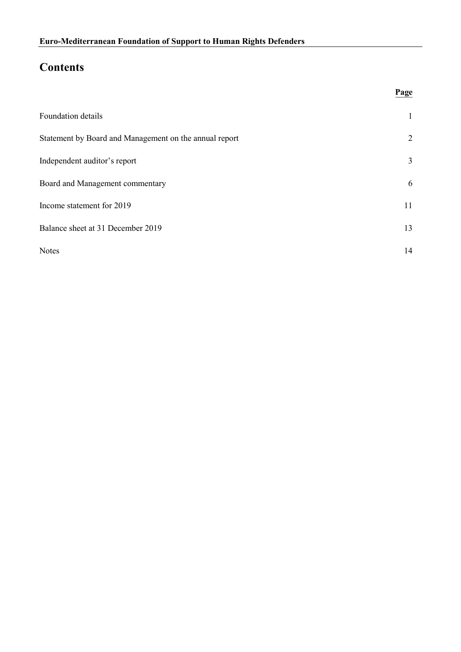# **Contents**

| Foundation details                                     | $\mathbf{1}$ |
|--------------------------------------------------------|--------------|
| Statement by Board and Management on the annual report | 2            |
| Independent auditor's report                           | 3            |
| Board and Management commentary                        | 6            |
| Income statement for 2019                              | 11           |
| Balance sheet at 31 December 2019                      | 13           |
| Notes                                                  | 14           |

**Page** \_\_\_\_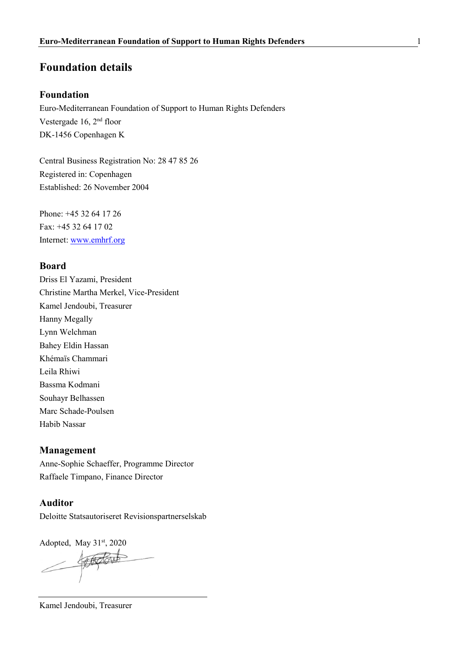# **Foundation details**

# **Foundation**

Euro-Mediterranean Foundation of Support to Human Rights Defenders Vestergade 16, 2nd floor DK-1456 Copenhagen K

Central Business Registration No: 28 47 85 26 Registered in: Copenhagen Established: 26 November 2004

Phone: +45 32 64 17 26 Fax: +45 32 64 17 02 Internet: [www.emhrf.org](https://emhrf.sharepoint.com/Delte%20dokumenter/EMHRF/PROGRAMMES/ANNUAL%20REPORT/2018/Financial/Work%20plan%202018/2200%20Annual%20Report,%20Consolidation,%20trial%20balance/www.emhrf.org)

## **Board**

Driss El Yazami, President Christine Martha Merkel, Vice-President Kamel Jendoubi, Treasurer Hanny Megally Lynn Welchman Bahey Eldin Hassan Khémaïs Chammari Leila Rhiwi Bassma Kodmani Souhayr Belhassen Marc Schade-Poulsen Habib Nassar

#### **Management**

Anne-Sophie Schaeffer, Programme Director Raffaele Timpano, Finance Director

## **Auditor**

Deloitte Statsautoriseret Revisionspartnerselskab

Adopted, May  $31<sup>st</sup>$ , 2020

Kamel Jendoubi, Treasurer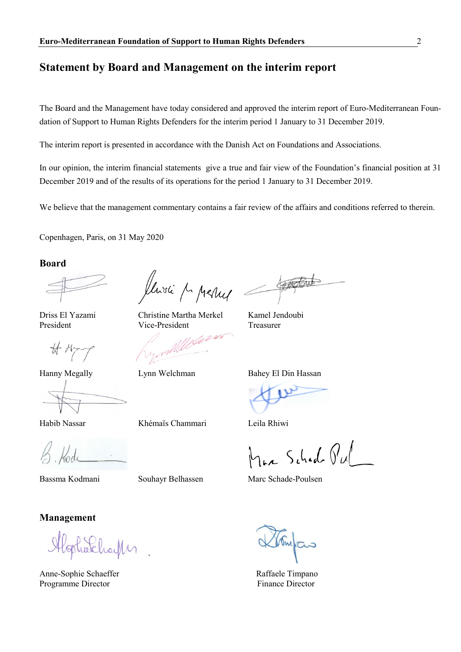# **Statement by Board and Management on the interim report**

The Board and the Management have today considered and approved the interim report of Euro-Mediterranean Foundation of Support to Human Rights Defenders for the interim period 1 January to 31 December 2019.

The interim report is presented in accordance with the Danish Act on Foundations and Associations.

In our opinion, the interim financial statements give a true and fair view of the Foundation's financial position at 31 December 2019 and of the results of its operations for the period 1 January to 31 December 2019.

We believe that the management commentary contains a fair review of the affairs and conditions referred to therein.

Copenhagen, Paris, on 31 May 2020

**Board**

 $\overline{\mathcal{A}}$  M

Habib Nassar Khémaïs Chammari Leila Rhiwi

**Management**

Eheili

Anne-Sophie Schaeffer **Raffaele Timpano** Programme Director Finance Director

llivie M pressed

Driss El Yazami Christine Martha Merkel Kamel Jendoubi President Vice-President Treasurer

Hanny Megally Lynn Welchman Bahey El Din Hassan

Max Schad Pul

Bassma Kodmani Souhayr Belhassen Marc Schade-Poulsen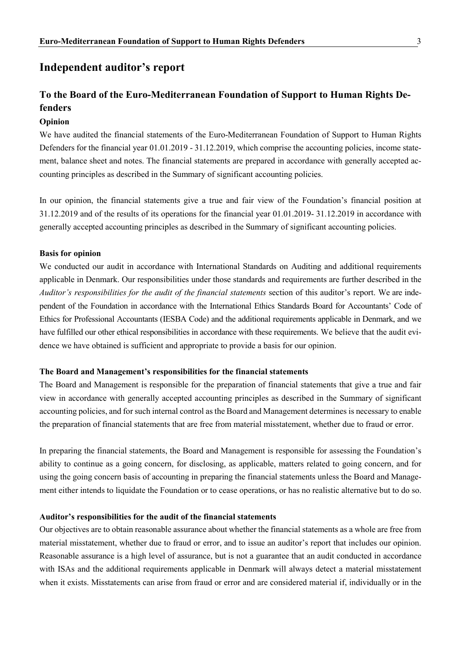# **Independent auditor's report**

# **To the Board of the Euro-Mediterranean Foundation of Support to Human Rights Defenders**

### **Opinion**

We have audited the financial statements of the Euro-Mediterranean Foundation of Support to Human Rights Defenders for the financial year 01.01.2019 - 31.12.2019, which comprise the accounting policies, income statement, balance sheet and notes. The financial statements are prepared in accordance with generally accepted accounting principles as described in the Summary of significant accounting policies.

In our opinion, the financial statements give a true and fair view of the Foundation's financial position at 31.12.2019 and of the results of its operations for the financial year 01.01.2019- 31.12.2019 in accordance with generally accepted accounting principles as described in the Summary of significant accounting policies.

#### **Basis for opinion**

We conducted our audit in accordance with International Standards on Auditing and additional requirements applicable in Denmark. Our responsibilities under those standards and requirements are further described in the *Auditor's responsibilities for the audit of the financial statements* section of this auditor's report. We are independent of the Foundation in accordance with the International Ethics Standards Board for Accountants' Code of Ethics for Professional Accountants (IESBA Code) and the additional requirements applicable in Denmark, and we have fulfilled our other ethical responsibilities in accordance with these requirements. We believe that the audit evidence we have obtained is sufficient and appropriate to provide a basis for our opinion.

#### **The Board and Management's responsibilities for the financial statements**

The Board and Management is responsible for the preparation of financial statements that give a true and fair view in accordance with generally accepted accounting principles as described in the Summary of significant accounting policies, and for such internal control as the Board and Management determines is necessary to enable the preparation of financial statements that are free from material misstatement, whether due to fraud or error.

In preparing the financial statements, the Board and Management is responsible for assessing the Foundation's ability to continue as a going concern, for disclosing, as applicable, matters related to going concern, and for using the going concern basis of accounting in preparing the financial statements unless the Board and Management either intends to liquidate the Foundation or to cease operations, or has no realistic alternative but to do so.

#### **Auditor's responsibilities for the audit of the financial statements**

Our objectives are to obtain reasonable assurance about whether the financial statements as a whole are free from material misstatement, whether due to fraud or error, and to issue an auditor's report that includes our opinion. Reasonable assurance is a high level of assurance, but is not a guarantee that an audit conducted in accordance with ISAs and the additional requirements applicable in Denmark will always detect a material misstatement when it exists. Misstatements can arise from fraud or error and are considered material if, individually or in the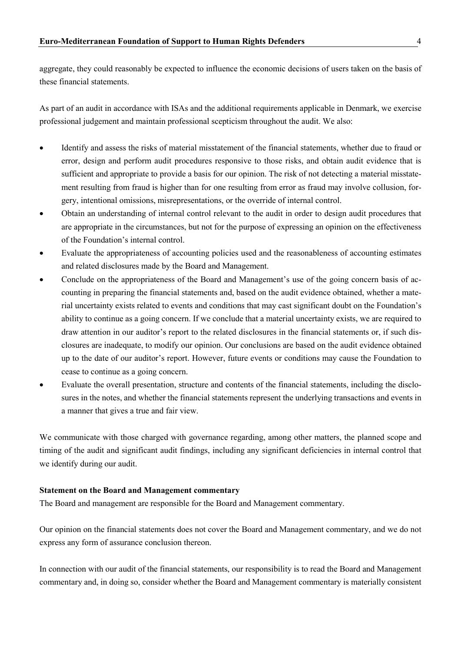aggregate, they could reasonably be expected to influence the economic decisions of users taken on the basis of these financial statements.

As part of an audit in accordance with ISAs and the additional requirements applicable in Denmark, we exercise professional judgement and maintain professional scepticism throughout the audit. We also:

- Identify and assess the risks of material misstatement of the financial statements, whether due to fraud or error, design and perform audit procedures responsive to those risks, and obtain audit evidence that is sufficient and appropriate to provide a basis for our opinion. The risk of not detecting a material misstatement resulting from fraud is higher than for one resulting from error as fraud may involve collusion, forgery, intentional omissions, misrepresentations, or the override of internal control.
- Obtain an understanding of internal control relevant to the audit in order to design audit procedures that are appropriate in the circumstances, but not for the purpose of expressing an opinion on the effectiveness of the Foundation's internal control.
- Evaluate the appropriateness of accounting policies used and the reasonableness of accounting estimates and related disclosures made by the Board and Management.
- Conclude on the appropriateness of the Board and Management's use of the going concern basis of accounting in preparing the financial statements and, based on the audit evidence obtained, whether a material uncertainty exists related to events and conditions that may cast significant doubt on the Foundation's ability to continue as a going concern. If we conclude that a material uncertainty exists, we are required to draw attention in our auditor's report to the related disclosures in the financial statements or, if such disclosures are inadequate, to modify our opinion. Our conclusions are based on the audit evidence obtained up to the date of our auditor's report. However, future events or conditions may cause the Foundation to cease to continue as a going concern.
- Evaluate the overall presentation, structure and contents of the financial statements, including the disclosures in the notes, and whether the financial statements represent the underlying transactions and events in a manner that gives a true and fair view.

We communicate with those charged with governance regarding, among other matters, the planned scope and timing of the audit and significant audit findings, including any significant deficiencies in internal control that we identify during our audit.

#### **Statement on the Board and Management commentary**

The Board and management are responsible for the Board and Management commentary.

Our opinion on the financial statements does not cover the Board and Management commentary, and we do not express any form of assurance conclusion thereon.

In connection with our audit of the financial statements, our responsibility is to read the Board and Management commentary and, in doing so, consider whether the Board and Management commentary is materially consistent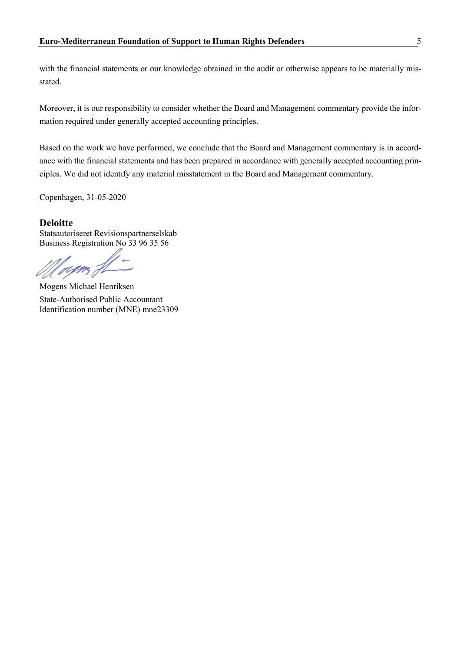with the financial statements or our knowledge obtained in the audit or otherwise appears to be materially misstated.

Moreover, it is our responsibility to consider whether the Board and Management commentary provide the information required under generally accepted accounting principles.

Based on the work we have performed, we conclude that the Board and Management commentary is in accordance with the financial statements and has been prepared in accordance with generally accepted accounting principles. We did not identify any material misstatement in the Board and Management commentary.

Copenhagen, 31-05-2020

## **Deloitte**

Statsautoriseret Revisionspartnerselskab Business Registration No 33 96 35 56

rum

Mogens Michael Henriksen State-Authorised Public Accountant Identification number (MNE) mne23309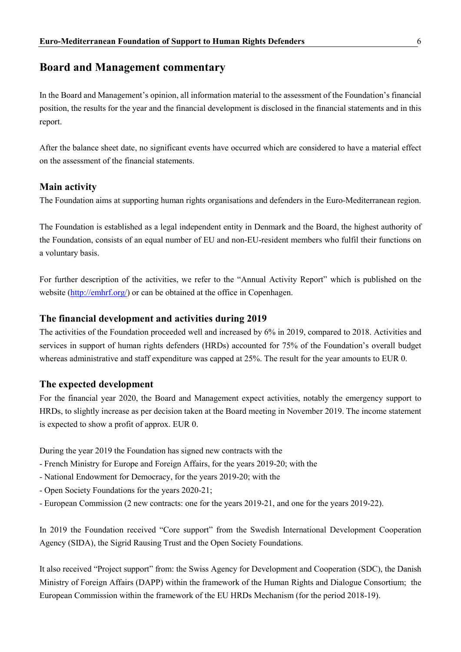# **Board and Management commentary**

In the Board and Management's opinion, all information material to the assessment of the Foundation's financial position, the results for the year and the financial development is disclosed in the financial statements and in this report.

After the balance sheet date, no significant events have occurred which are considered to have a material effect on the assessment of the financial statements.

# **Main activity**

The Foundation aims at supporting human rights organisations and defenders in the Euro-Mediterranean region.

The Foundation is established as a legal independent entity in Denmark and the Board, the highest authority of the Foundation, consists of an equal number of EU and non-EU-resident members who fulfil their functions on a voluntary basis.

For further description of the activities, we refer to the "Annual Activity Report" which is published on the website [\(http://emhrf.org/\)](http://emhrf.org/) or can be obtained at the office in Copenhagen.

## **The financial development and activities during 2019**

The activities of the Foundation proceeded well and increased by 6% in 2019, compared to 2018. Activities and services in support of human rights defenders (HRDs) accounted for 75% of the Foundation's overall budget whereas administrative and staff expenditure was capped at 25%. The result for the year amounts to EUR 0.

# **The expected development**

For the financial year 2020, the Board and Management expect activities, notably the emergency support to HRDs, to slightly increase as per decision taken at the Board meeting in November 2019. The income statement is expected to show a profit of approx. EUR 0.

During the year 2019 the Foundation has signed new contracts with the

- French Ministry for Europe and Foreign Affairs, for the years 2019-20; with the
- National Endowment for Democracy, for the years 2019-20; with the
- Open Society Foundations for the years 2020-21;
- European Commission (2 new contracts: one for the years 2019-21, and one for the years 2019-22).

In 2019 the Foundation received "Core support" from the Swedish International Development Cooperation Agency (SIDA), the Sigrid Rausing Trust and the Open Society Foundations.

It also received "Project support" from: the Swiss Agency for Development and Cooperation (SDC), the Danish Ministry of Foreign Affairs (DAPP) within the framework of the Human Rights and Dialogue Consortium; the European Commission within the framework of the EU HRDs Mechanism (for the period 2018-19).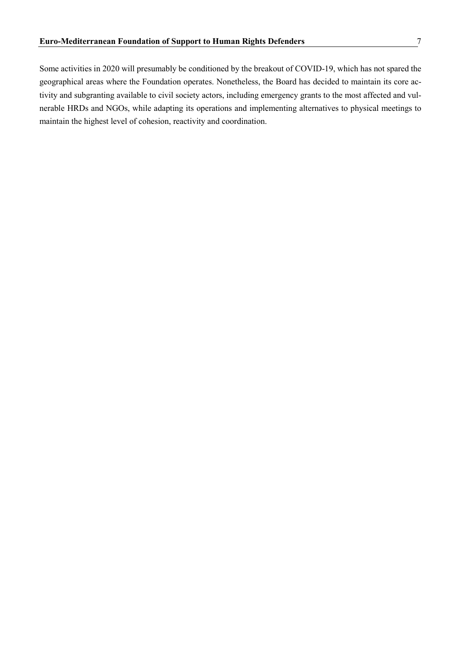Some activities in 2020 will presumably be conditioned by the breakout of COVID-19, which has not spared the geographical areas where the Foundation operates. Nonetheless, the Board has decided to maintain its core activity and subgranting available to civil society actors, including emergency grants to the most affected and vulnerable HRDs and NGOs, while adapting its operations and implementing alternatives to physical meetings to maintain the highest level of cohesion, reactivity and coordination.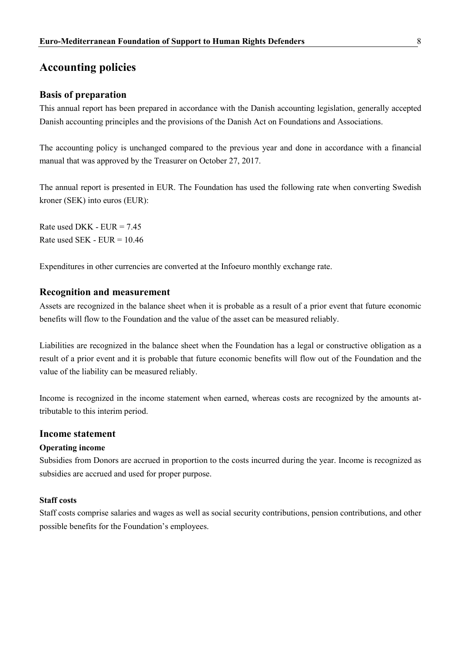# **Accounting policies**

## **Basis of preparation**

This annual report has been prepared in accordance with the Danish accounting legislation, generally accepted Danish accounting principles and the provisions of the Danish Act on Foundations and Associations.

The accounting policy is unchanged compared to the previous year and done in accordance with a financial manual that was approved by the Treasurer on October 27, 2017.

The annual report is presented in EUR. The Foundation has used the following rate when converting Swedish kroner (SEK) into euros (EUR):

Rate used DKK -  $EUR = 7.45$ Rate used SEK -  $EUR = 10.46$ 

Expenditures in other currencies are converted at the Infoeuro monthly exchange rate.

## **Recognition and measurement**

Assets are recognized in the balance sheet when it is probable as a result of a prior event that future economic benefits will flow to the Foundation and the value of the asset can be measured reliably.

Liabilities are recognized in the balance sheet when the Foundation has a legal or constructive obligation as a result of a prior event and it is probable that future economic benefits will flow out of the Foundation and the value of the liability can be measured reliably.

Income is recognized in the income statement when earned, whereas costs are recognized by the amounts attributable to this interim period.

## **Income statement**

#### **Operating income**

Subsidies from Donors are accrued in proportion to the costs incurred during the year. Income is recognized as subsidies are accrued and used for proper purpose.

#### **Staff costs**

Staff costs comprise salaries and wages as well as social security contributions, pension contributions, and other possible benefits for the Foundation's employees.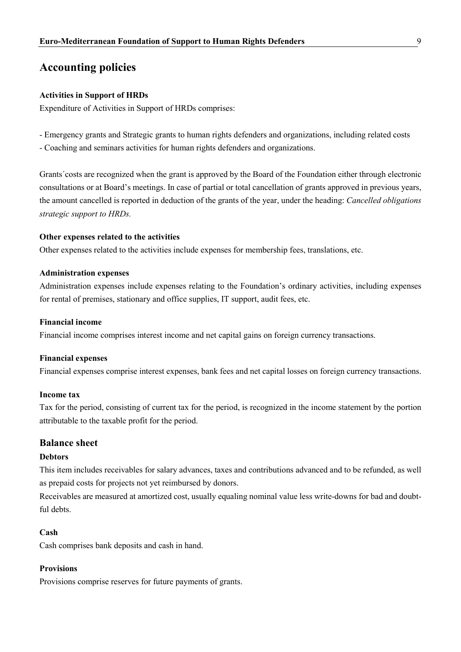# **Accounting policies**

#### **Activities in Support of HRDs**

Expenditure of Activities in Support of HRDs comprises:

- Emergency grants and Strategic grants to human rights defenders and organizations, including related costs
- Coaching and seminars activities for human rights defenders and organizations.

Grants´costs are recognized when the grant is approved by the Board of the Foundation either through electronic consultations or at Board's meetings. In case of partial or total cancellation of grants approved in previous years, the amount cancelled is reported in deduction of the grants of the year, under the heading: *Cancelled obligations strategic support to HRDs.*

#### **Other expenses related to the activities**

Other expenses related to the activities include expenses for membership fees, translations, etc.

#### **Administration expenses**

Administration expenses include expenses relating to the Foundation's ordinary activities, including expenses for rental of premises, stationary and office supplies, IT support, audit fees, etc.

#### **Financial income**

Financial income comprises interest income and net capital gains on foreign currency transactions.

#### **Financial expenses**

Financial expenses comprise interest expenses, bank fees and net capital losses on foreign currency transactions.

#### **Income tax**

Tax for the period, consisting of current tax for the period, is recognized in the income statement by the portion attributable to the taxable profit for the period.

### **Balance sheet**

#### **Debtors**

This item includes receivables for salary advances, taxes and contributions advanced and to be refunded, as well as prepaid costs for projects not yet reimbursed by donors.

Receivables are measured at amortized cost, usually equaling nominal value less write-downs for bad and doubtful debts.

#### **Cash**

Cash comprises bank deposits and cash in hand.

#### **Provisions**

Provisions comprise reserves for future payments of grants.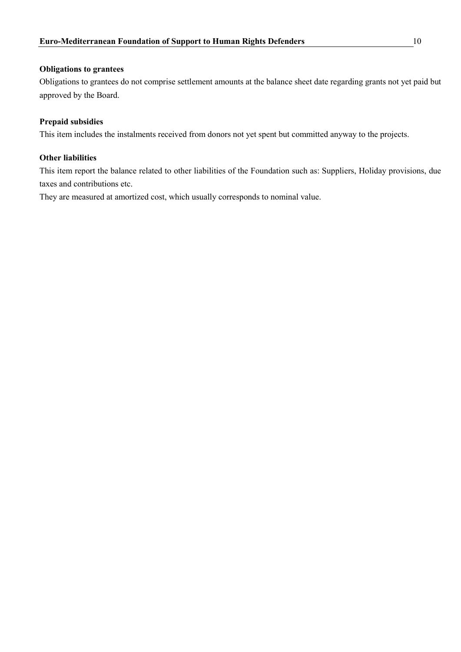### **Obligations to grantees**

Obligations to grantees do not comprise settlement amounts at the balance sheet date regarding grants not yet paid but approved by the Board.

## **Prepaid subsidies**

This item includes the instalments received from donors not yet spent but committed anyway to the projects.

## **Other liabilities**

This item report the balance related to other liabilities of the Foundation such as: Suppliers, Holiday provisions, due taxes and contributions etc.

They are measured at amortized cost, which usually corresponds to nominal value.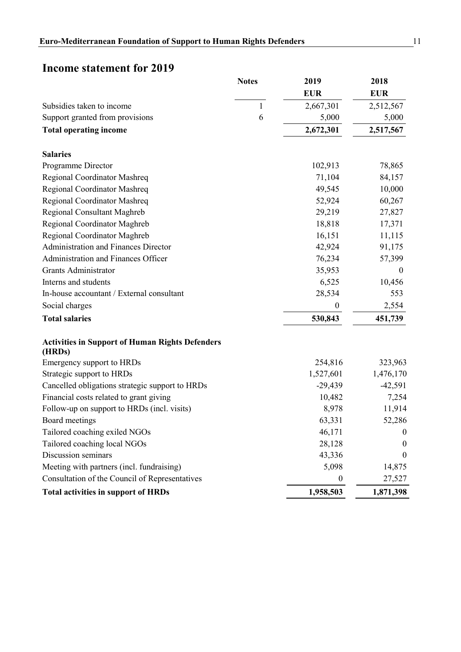# **Income statement for 2019**

|                                                                  | <b>Notes</b> | 2019<br><b>EUR</b> | 2018<br><b>EUR</b> |
|------------------------------------------------------------------|--------------|--------------------|--------------------|
| Subsidies taken to income                                        | $\mathbf{1}$ | 2,667,301          | 2,512,567          |
| Support granted from provisions                                  | 6            | 5,000              | 5,000              |
| <b>Total operating income</b>                                    |              | 2,672,301          | 2,517,567          |
| <b>Salaries</b>                                                  |              |                    |                    |
| Programme Director                                               |              | 102,913            | 78,865             |
| Regional Coordinator Mashreq                                     |              | 71,104             | 84,157             |
| Regional Coordinator Mashreq                                     |              | 49,545             | 10,000             |
| Regional Coordinator Mashreq                                     |              | 52,924             | 60,267             |
| Regional Consultant Maghreb                                      |              | 29,219             | 27,827             |
| Regional Coordinator Maghreb                                     |              | 18,818             | 17,371             |
| Regional Coordinator Maghreb                                     |              | 16,151             | 11,115             |
| <b>Administration and Finances Director</b>                      |              | 42,924             | 91,175             |
| Administration and Finances Officer                              |              | 76,234             | 57,399             |
| Grants Administrator                                             |              | 35,953             | $\theta$           |
| Interns and students                                             |              | 6,525              | 10,456             |
| In-house accountant / External consultant                        |              | 28,534             | 553                |
| Social charges                                                   |              | $\boldsymbol{0}$   | 2,554              |
| <b>Total salaries</b>                                            |              | 530,843            | 451,739            |
| <b>Activities in Support of Human Rights Defenders</b><br>(HRDs) |              |                    |                    |
| Emergency support to HRDs                                        |              | 254,816            | 323,963            |
| Strategic support to HRDs                                        |              | 1,527,601          | 1,476,170          |
| Cancelled obligations strategic support to HRDs                  |              | $-29,439$          | $-42,591$          |
| Financial costs related to grant giving                          |              | 10,482             | 7,254              |
| Follow-up on support to HRDs (incl. visits)                      |              | 8,978              | 11,914             |
| Board meetings                                                   |              | 63,331             | 52,286             |
| Tailored coaching exiled NGOs                                    |              | 46,171             | $\boldsymbol{0}$   |
| Tailored coaching local NGOs                                     |              | 28,128             | $\boldsymbol{0}$   |
| Discussion seminars                                              |              | 43,336             | $\boldsymbol{0}$   |
| Meeting with partners (incl. fundraising)                        |              | 5,098              | 14,875             |
| Consultation of the Council of Representatives                   |              | $\bf{0}$           | 27,527             |
| <b>Total activities in support of HRDs</b>                       |              | 1,958,503          | 1,871,398          |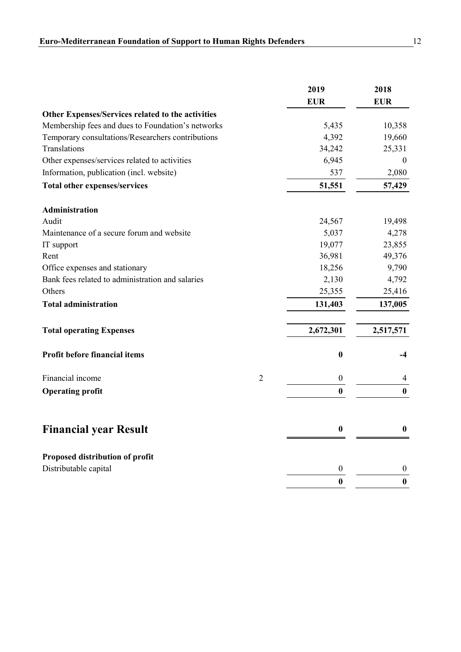|                                                   |                | 2019             | 2018             |
|---------------------------------------------------|----------------|------------------|------------------|
|                                                   |                | <b>EUR</b>       | <b>EUR</b>       |
| Other Expenses/Services related to the activities |                |                  |                  |
| Membership fees and dues to Foundation's networks |                | 5,435            | 10,358           |
| Temporary consultations/Researchers contributions |                | 4,392            | 19,660           |
| Translations                                      |                | 34,242           | 25,331           |
| Other expenses/services related to activities     |                | 6,945            | $\overline{0}$   |
| Information, publication (incl. website)          |                | 537              | 2,080            |
| <b>Total other expenses/services</b>              |                | 51,551           | 57,429           |
| Administration                                    |                |                  |                  |
| Audit                                             |                | 24,567           | 19,498           |
| Maintenance of a secure forum and website         |                | 5,037            | 4,278            |
| IT support                                        |                | 19,077           | 23,855           |
| Rent                                              |                | 36,981           | 49,376           |
| Office expenses and stationary                    |                | 18,256           | 9,790            |
| Bank fees related to administration and salaries  |                | 2,130            | 4,792            |
| Others                                            |                | 25,355           | 25,416           |
| <b>Total administration</b>                       |                | 131,403          | 137,005          |
| <b>Total operating Expenses</b>                   |                | 2,672,301        | 2,517,571        |
| Profit before financial items                     |                | $\bf{0}$         | $-4$             |
| Financial income                                  | $\overline{2}$ | $\boldsymbol{0}$ | $\overline{4}$   |
| <b>Operating profit</b>                           |                | $\bf{0}$         | $\bf{0}$         |
| <b>Financial year Result</b>                      |                | $\boldsymbol{0}$ | $\boldsymbol{0}$ |
| Proposed distribution of profit                   |                |                  |                  |
| Distributable capital                             |                | 0                | $\bf{0}$         |
|                                                   |                | $\bf{0}$         | $\bf{0}$         |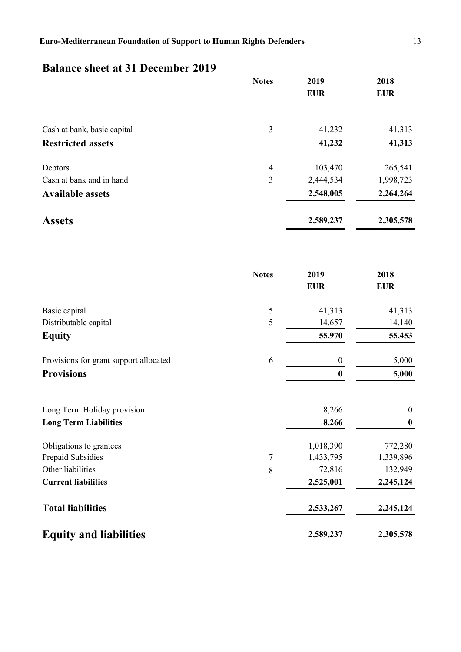# **Balance sheet at 31 December 2019**

|                             | <b>Notes</b>   | 2019<br><b>EUR</b> | 2018<br><b>EUR</b> |
|-----------------------------|----------------|--------------------|--------------------|
| Cash at bank, basic capital | 3              | 41,232             | 41,313             |
| <b>Restricted assets</b>    |                | 41,232             | 41,313             |
| Debtors                     | $\overline{4}$ | 103,470            | 265,541            |
| Cash at bank and in hand    | 3              | 2,444,534          | 1,998,723          |
| <b>Available assets</b>     |                | 2,548,005          | 2,264,264          |
| <b>Assets</b>               |                | 2,589,237          | 2,305,578          |

|                                        | <b>Notes</b> | 2019<br><b>EUR</b> | 2018<br><b>EUR</b> |
|----------------------------------------|--------------|--------------------|--------------------|
| Basic capital                          | 5            | 41,313             | 41,313             |
| Distributable capital                  | 5            | 14,657             | 14,140             |
| <b>Equity</b>                          |              | 55,970             | 55,453             |
| Provisions for grant support allocated | 6            | $\boldsymbol{0}$   | 5,000              |
| <b>Provisions</b>                      |              | $\boldsymbol{0}$   | 5,000              |
| Long Term Holiday provision            |              | 8,266              | $\boldsymbol{0}$   |
| <b>Long Term Liabilities</b>           |              | 8,266              | $\bf{0}$           |
| Obligations to grantees                |              | 1,018,390          | 772,280            |
| Prepaid Subsidies                      | 7            | 1,433,795          | 1,339,896          |
| Other liabilities                      | 8            | 72,816             | 132,949            |
| <b>Current liabilities</b>             |              | 2,525,001          | 2,245,124          |
| <b>Total liabilities</b>               |              | 2,533,267          | 2,245,124          |
| <b>Equity and liabilities</b>          |              | 2,589,237          | 2,305,578          |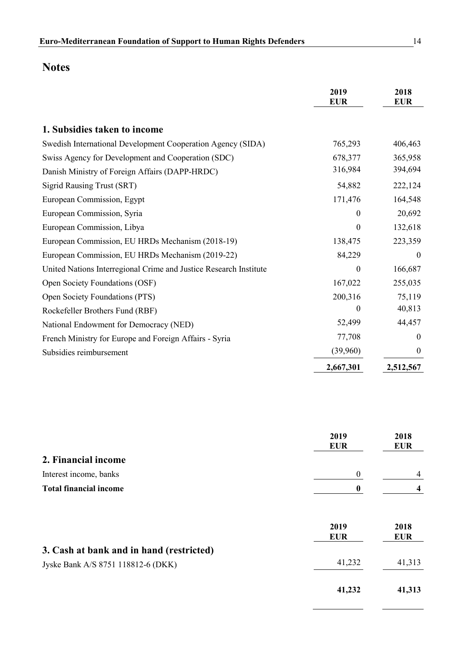|                                                                   | 2019<br><b>EUR</b> | 2018<br><b>EUR</b> |
|-------------------------------------------------------------------|--------------------|--------------------|
|                                                                   |                    |                    |
| 1. Subsidies taken to income                                      |                    |                    |
| Swedish International Development Cooperation Agency (SIDA)       | 765,293            | 406,463            |
| Swiss Agency for Development and Cooperation (SDC)                | 678,377            | 365,958            |
| Danish Ministry of Foreign Affairs (DAPP-HRDC)                    | 316,984            | 394,694            |
| <b>Sigrid Rausing Trust (SRT)</b>                                 | 54,882             | 222,124            |
| European Commission, Egypt                                        | 171,476            | 164,548            |
| European Commission, Syria                                        | $\Omega$           | 20,692             |
| European Commission, Libya                                        | $\mathbf{0}$       | 132,618            |
| European Commission, EU HRDs Mechanism (2018-19)                  | 138,475            | 223,359            |
| European Commission, EU HRDs Mechanism (2019-22)                  | 84,229             | $\theta$           |
| United Nations Interregional Crime and Justice Research Institute | $\boldsymbol{0}$   | 166,687            |
| Open Society Foundations (OSF)                                    | 167,022            | 255,035            |
| Open Society Foundations (PTS)                                    | 200,316            | 75,119             |
| Rockefeller Brothers Fund (RBF)                                   | $\theta$           | 40,813             |
| National Endowment for Democracy (NED)                            | 52,499             | 44,457             |
| French Ministry for Europe and Foreign Affairs - Syria            | 77,708             | $\theta$           |
| Subsidies reimbursement                                           | (39,960)           | $\boldsymbol{0}$   |
|                                                                   | 2,667,301          | 2,512,567          |

|                                          | 2019<br><b>EUR</b> | 2018<br><b>EUR</b> |
|------------------------------------------|--------------------|--------------------|
| 2. Financial income                      |                    |                    |
| Interest income, banks                   | $\boldsymbol{0}$   | 4                  |
| <b>Total financial income</b>            | $\boldsymbol{0}$   | 4                  |
|                                          | 2019<br><b>EUR</b> | 2018<br><b>EUR</b> |
| 3. Cash at bank and in hand (restricted) |                    |                    |
| Jyske Bank A/S 8751 118812-6 (DKK)       | 41,232             | 41,313             |
|                                          | 41,232             | 41,313             |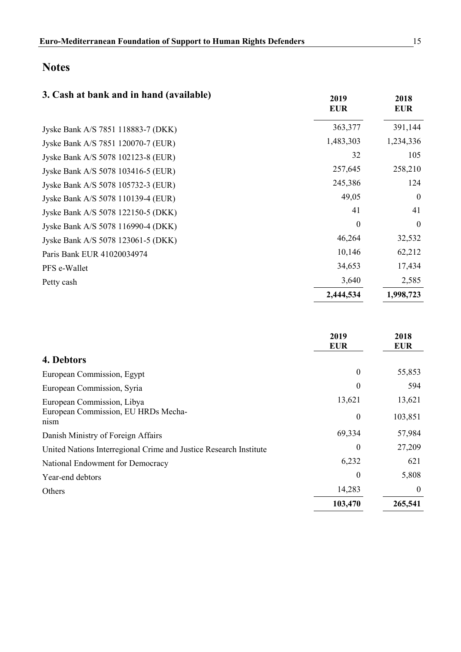| 3. Cash at bank and in hand (available) | 2019<br><b>EUR</b> | 2018<br><b>EUR</b> |
|-----------------------------------------|--------------------|--------------------|
| Jyske Bank A/S 7851 118883-7 (DKK)      | 363,377            | 391,144            |
| Jyske Bank A/S 7851 120070-7 (EUR)      | 1,483,303          | 1,234,336          |
| Jyske Bank A/S 5078 102123-8 (EUR)      | 32                 | 105                |
| Jyske Bank A/S 5078 103416-5 (EUR)      | 257,645            | 258,210            |
| Jyske Bank A/S 5078 105732-3 (EUR)      | 245,386            | 124                |
| Jyske Bank A/S 5078 110139-4 (EUR)      | 49,05              | $\boldsymbol{0}$   |
| Jyske Bank A/S 5078 122150-5 (DKK)      | 41                 | 41                 |
| Jyske Bank A/S 5078 116990-4 (DKK)      | $\boldsymbol{0}$   | $\boldsymbol{0}$   |
| Jyske Bank A/S 5078 123061-5 (DKK)      | 46,264             | 32,532             |
| Paris Bank EUR 41020034974              | 10,146             | 62,212             |
| PFS e-Wallet                            | 34,653             | 17,434             |
| Petty cash                              | 3,640              | 2,585              |
|                                         | 2,444,534          | 1,998,723          |

|                                                                   | 2019<br><b>EUR</b> | 2018<br><b>EUR</b> |
|-------------------------------------------------------------------|--------------------|--------------------|
| 4. Debtors                                                        |                    |                    |
| European Commission, Egypt                                        | $\boldsymbol{0}$   | 55,853             |
| European Commission, Syria                                        | 0                  | 594                |
| European Commission, Libya                                        | 13,621             | 13,621             |
| European Commission, EU HRDs Mecha-<br>nism                       | $\theta$           | 103,851            |
| Danish Ministry of Foreign Affairs                                | 69,334             | 57,984             |
| United Nations Interregional Crime and Justice Research Institute | 0                  | 27,209             |
| National Endowment for Democracy                                  | 6,232              | 621                |
| Year-end debtors                                                  | 0                  | 5,808              |
| Others                                                            | 14,283             | $\theta$           |
|                                                                   | 103,470            | 265,541            |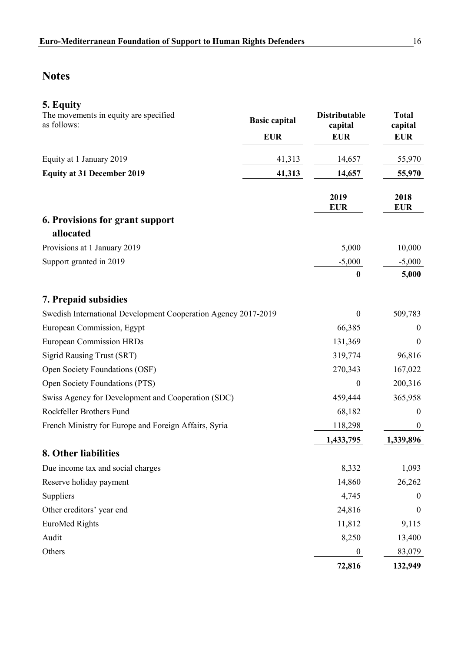| 5. Equity<br>The movements in equity are specified<br>as follows: |
|-------------------------------------------------------------------|
| $E_{\text{unit}}$ of 1 Lempson $2010$                             |

|                                                                | <b>EUR</b> | <b>EUR</b>         | <b>EUR</b>         |
|----------------------------------------------------------------|------------|--------------------|--------------------|
| Equity at 1 January 2019                                       | 41,313     | 14,657             | 55,970             |
| <b>Equity at 31 December 2019</b>                              | 41,313     | 14,657             | 55,970             |
|                                                                |            | 2019<br><b>EUR</b> | 2018<br><b>EUR</b> |
| 6. Provisions for grant support<br>allocated                   |            |                    |                    |
| Provisions at 1 January 2019                                   |            | 5,000              | 10,000             |
| Support granted in 2019                                        |            | $-5,000$           | $-5,000$           |
|                                                                |            | $\bf{0}$           | 5,000              |
| 7. Prepaid subsidies                                           |            |                    |                    |
| Swedish International Development Cooperation Agency 2017-2019 |            | $\boldsymbol{0}$   | 509,783            |
| European Commission, Egypt                                     |            | 66,385             | $\boldsymbol{0}$   |
| <b>European Commission HRDs</b>                                |            | 131,369            | $\mathbf{0}$       |
| <b>Sigrid Rausing Trust (SRT)</b>                              |            | 319,774            | 96,816             |
| Open Society Foundations (OSF)                                 |            | 270,343            | 167,022            |
| Open Society Foundations (PTS)                                 |            | $\boldsymbol{0}$   | 200,316            |
| Swiss Agency for Development and Cooperation (SDC)             |            | 459,444            | 365,958            |
| Rockfeller Brothers Fund                                       |            | 68,182             | $\boldsymbol{0}$   |
| French Ministry for Europe and Foreign Affairs, Syria          |            | 118,298            | $\boldsymbol{0}$   |
|                                                                |            | 1,433,795          | 1,339,896          |
| 8. Other liabilities                                           |            |                    |                    |
| Due income tax and social charges                              |            | 8,332              | 1,093              |
| Reserve holiday payment                                        |            | 14,860             | 26,262             |
| Suppliers                                                      |            | 4,745              | $\theta$           |
| Other creditors' year end                                      |            | 24,816             | $\boldsymbol{0}$   |
| <b>EuroMed Rights</b>                                          |            | 11,812             | 9,115              |
| Audit                                                          |            | 8,250              | 13,400             |
| Others                                                         |            | $\boldsymbol{0}$   | 83,079             |
|                                                                |            | 72,816             | 132,949            |

**Basic capital Distributable** 

**capital**

**Total capital**